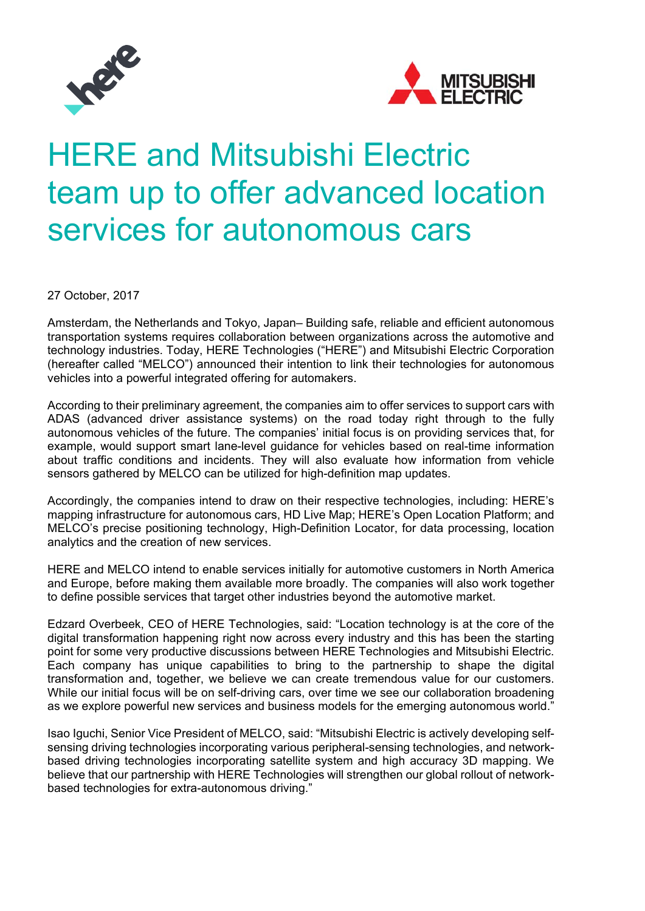



# HERE and Mitsubishi Electric team up to offer advanced location services for autonomous cars

27 October, 2017

Amsterdam, the Netherlands and Tokyo, Japan– Building safe, reliable and efficient autonomous transportation systems requires collaboration between organizations across the automotive and technology industries. Today, HERE Technologies ("HERE") and Mitsubishi Electric Corporation (hereafter called "MELCO") announced their intention to link their technologies for autonomous vehicles into a powerful integrated offering for automakers.

According to their preliminary agreement, the companies aim to offer services to support cars with ADAS (advanced driver assistance systems) on the road today right through to the fully autonomous vehicles of the future. The companies' initial focus is on providing services that, for example, would support smart lane-level guidance for vehicles based on real-time information about traffic conditions and incidents. They will also evaluate how information from vehicle sensors gathered by MELCO can be utilized for high-definition map updates.

Accordingly, the companies intend to draw on their respective technologies, including: HERE's mapping infrastructure for autonomous cars, HD Live Map; HERE's Open Location Platform; and MELCO's precise positioning technology, High-Definition Locator, for data processing, location analytics and the creation of new services.

HERE and MELCO intend to enable services initially for automotive customers in North America and Europe, before making them available more broadly. The companies will also work together to define possible services that target other industries beyond the automotive market.

Edzard Overbeek, CEO of HERE Technologies, said: "Location technology is at the core of the digital transformation happening right now across every industry and this has been the starting point for some very productive discussions between HERE Technologies and Mitsubishi Electric. Each company has unique capabilities to bring to the partnership to shape the digital transformation and, together, we believe we can create tremendous value for our customers. While our initial focus will be on self-driving cars, over time we see our collaboration broadening as we explore powerful new services and business models for the emerging autonomous world."

Isao Iguchi, Senior Vice President of MELCO, said: "Mitsubishi Electric is actively developing selfsensing driving technologies incorporating various peripheral-sensing technologies, and networkbased driving technologies incorporating satellite system and high accuracy 3D mapping. We believe that our partnership with HERE Technologies will strengthen our global rollout of networkbased technologies for extra-autonomous driving."